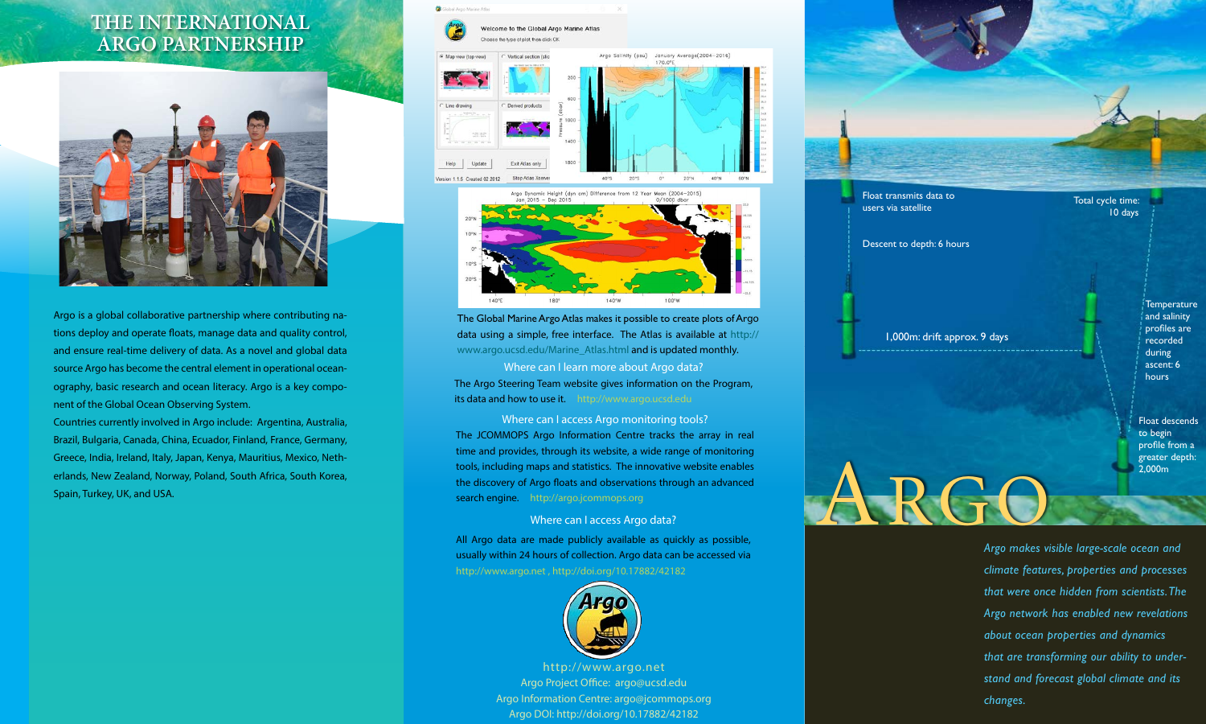## **the international argo partnership**



Argo is a global collaborative partnership where contributing nations deploy and operate floats, manage data and quality control, and ensure real-time delivery of data. As a novel and global data source Argo has become the central element in operational oceanography, basic research and ocean literacy. Argo is a key component of the Global Ocean Observing System.

Countries currently involved in Argo include: Argentina, Australia, Brazil, Bulgaria, Canada, China, Ecuador, Finland, France, Germany, Greece, India, Ireland, Italy, Japan, Kenya, Mauritius, Mexico, Netherlands, New Zealand, Norway, Poland, South Africa, South Korea, Spain, Turkey, UK, and USA.



The Global Marine Argo Atlas makes it possible to create plots of Argo data using a simple, free interface. The Atlas is available at http:// www.argo.ucsd.edu/Marine\_Atlas.html and is updated monthly.

Where can I learn more about Argo data? The Argo Steering Team website gives information on the Program, its data and how to use it. http://www.argo.ucsd.edu

Where can I access Argo monitoring tools? The JCOMMOPS Argo Information Centre tracks the array in real time and provides, through its website, a wide range of monitoring tools, including maps and statistics. The innovative website enables the discovery of Argo floats and observations through an advanced search engine. http://argo.jcommops.org

#### Where can I access Argo data?

All Argo data are made publicly available as quickly as possible, usually within 24 hours of collection. Argo data can be accessed via



http://www.argo.net Argo Project Office: argo@ucsd.edu Argo Information Centre: argo@jcommops.org Argo DOI: http://doi.org/10.17882/42182



ARGO

to begin profile from a greater depth: 2,000m

*Argo makes visible large-scale ocean and climate features, properties and processes that were once hidden from scientists. The Argo network has enabled new revelations about ocean properties and dynamics that are transforming our ability to understand and forecast global climate and its changes.*